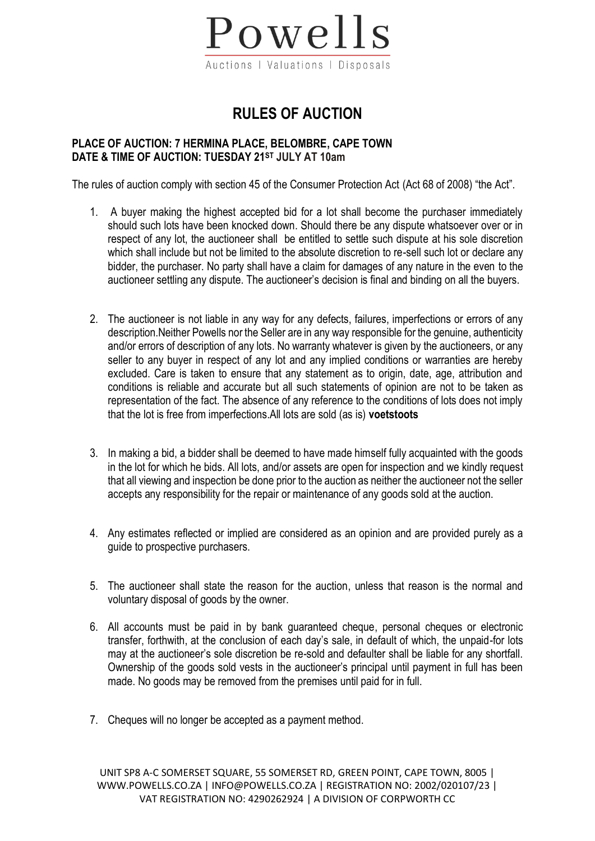

## **RULES OF AUCTION**

## **PLACE OF AUCTION: 7 HERMINA PLACE, BELOMBRE, CAPE TOWN DATE & TIME OF AUCTION: TUESDAY 21ST JULY AT 10am**

The rules of auction comply with section 45 of the Consumer Protection Act (Act 68 of 2008) "the Act".

- 1. A buyer making the highest accepted bid for a lot shall become the purchaser immediately should such lots have been knocked down. Should there be any dispute whatsoever over or in respect of any lot, the auctioneer shall be entitled to settle such dispute at his sole discretion which shall include but not be limited to the absolute discretion to re-sell such lot or declare any bidder, the purchaser. No party shall have a claim for damages of any nature in the even to the auctioneer settling any dispute. The auctioneer's decision is final and binding on all the buyers.
- 2. The auctioneer is not liable in any way for any defects, failures, imperfections or errors of any description.Neither Powells nor the Seller are in any way responsible for the genuine, authenticity and/or errors of description of any lots. No warranty whatever is given by the auctioneers, or any seller to any buyer in respect of any lot and any implied conditions or warranties are hereby excluded. Care is taken to ensure that any statement as to origin, date, age, attribution and conditions is reliable and accurate but all such statements of opinion are not to be taken as representation of the fact. The absence of any reference to the conditions of lots does not imply that the lot is free from imperfections.All lots are sold (as is) **voetstoots**
- 3. In making a bid, a bidder shall be deemed to have made himself fully acquainted with the goods in the lot for which he bids. All lots, and/or assets are open for inspection and we kindly request that all viewing and inspection be done prior to the auction as neither the auctioneer not the seller accepts any responsibility for the repair or maintenance of any goods sold at the auction.
- 4. Any estimates reflected or implied are considered as an opinion and are provided purely as a guide to prospective purchasers.
- 5. The auctioneer shall state the reason for the auction, unless that reason is the normal and voluntary disposal of goods by the owner.
- 6. All accounts must be paid in by bank guaranteed cheque, personal cheques or electronic transfer, forthwith, at the conclusion of each day's sale, in default of which, the unpaid-for lots may at the auctioneer's sole discretion be re-sold and defaulter shall be liable for any shortfall. Ownership of the goods sold vests in the auctioneer's principal until payment in full has been made. No goods may be removed from the premises until paid for in full.
- 7. Cheques will no longer be accepted as a payment method.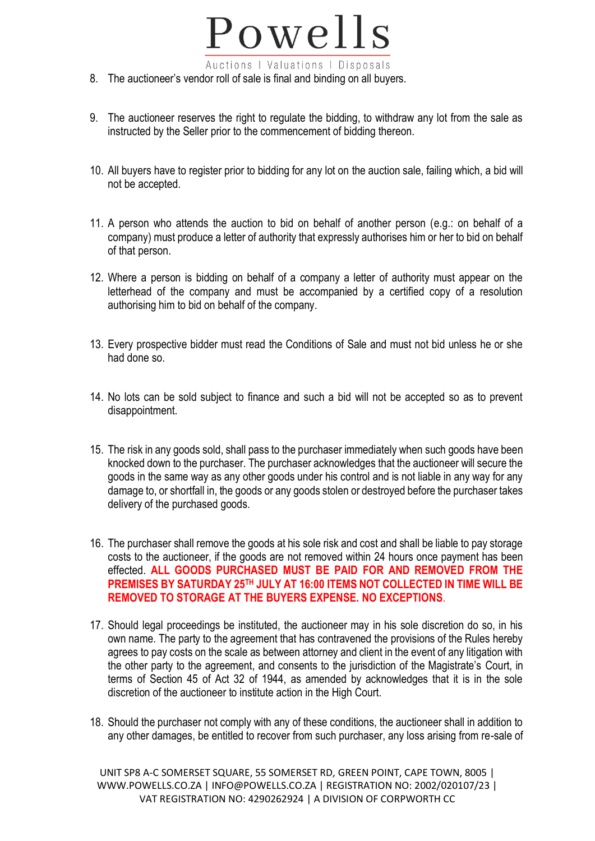

- 8. The auctioneer's vendor roll of sale is final and binding on all buyers.
- 9. The auctioneer reserves the right to regulate the bidding, to withdraw any lot from the sale as instructed by the Seller prior to the commencement of bidding thereon.
- 10. All buyers have to register prior to bidding for any lot on the auction sale, failing which, a bid will not be accepted.
- 11. A person who attends the auction to bid on behalf of another person (e.g.: on behalf of a company) must produce a letter of authority that expressly authorises him or her to bid on behalf of that person.
- 12. Where a person is bidding on behalf of a company a letter of authority must appear on the letterhead of the company and must be accompanied by a certified copy of a resolution authorising him to bid on behalf of the company.
- 13. Every prospective bidder must read the Conditions of Sale and must not bid unless he or she had done so.
- 14. No lots can be sold subject to finance and such a bid will not be accepted so as to prevent disappointment.
- 15. The risk in any goods sold, shall pass to the purchaser immediately when such goods have been knocked down to the purchaser. The purchaser acknowledges that the auctioneer will secure the goods in the same way as any other goods under his control and is not liable in any way for any damage to, or shortfall in, the goods or any goods stolen or destroyed before the purchaser takes delivery of the purchased goods.
- 16. The purchaser shall remove the goods at his sole risk and cost and shall be liable to pay storage costs to the auctioneer, if the goods are not removed within 24 hours once payment has been effected. **ALL GOODS PURCHASED MUST BE PAID FOR AND REMOVED FROM THE PREMISES BY SATURDAY 25TH JULY AT 16:00 ITEMS NOT COLLECTED IN TIME WILL BE REMOVED TO STORAGE AT THE BUYERS EXPENSE. NO EXCEPTIONS**.
- 17. Should legal proceedings be instituted, the auctioneer may in his sole discretion do so, in his own name. The party to the agreement that has contravened the provisions of the Rules hereby agrees to pay costs on the scale as between attorney and client in the event of any litigation with the other party to the agreement, and consents to the jurisdiction of the Magistrate's Court, in terms of Section 45 of Act 32 of 1944, as amended by acknowledges that it is in the sole discretion of the auctioneer to institute action in the High Court.
- 18. Should the purchaser not comply with any of these conditions, the auctioneer shall in addition to any other damages, be entitled to recover from such purchaser, any loss arising from re-sale of

UNIT SP8 A-C SOMERSET SQUARE, 55 SOMERSET RD, GREEN POINT, CAPE TOWN, 8005 | WWW.POWELLS.CO.ZA | INFO@POWELLS.CO.ZA | REGISTRATION NO: 2002/020107/23 | VAT REGISTRATION NO: 4290262924 | A DIVISION OF CORPWORTH CC